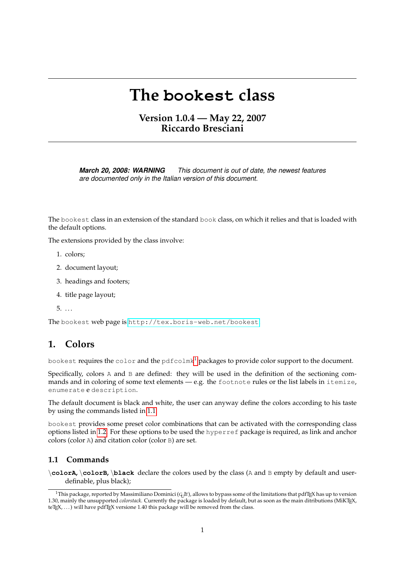# **The bookest class**

# **Version 1.0.4 — May 22, 2007 Riccardo Bresciani**

*March 20, 2008: WARNING This document is out of date, the newest features are documented only in the Italian version of this document.*

The bookest class in an extension of the standard book class, on which it relies and that is loaded with the default options.

The extensions provided by the class involve:

- 1. colors;
- 2. document layout;
- 3. headings and footers;
- 4. title page layout;
- $5. \ldots$

The bookest web page is <http://tex.boris-web.net/bookest>.

## **1. Colors**

bookest requires the color and the pdfcolmk<sup>[1](#page-0-0)</sup> packages to provide color support to the document.

Specifically, colors A and B are defined: they will be used in the definition of the sectioning commands and in coloring of some text elements — e.g. the footnote rules or the list labels in itemize, enumerate e description.

The default document is black and white, the user can anyway define the colors according to his taste by using the commands listed in [1.1.](#page-0-1)

bookest provides some preset color combinations that can be activated with the corresponding class options listed in [1.2.](#page-1-0) For these options to be used the hyperref package is required, as link and anchor colors (color A) and citation color (color B) are set.

#### <span id="page-0-1"></span>**1.1 Commands**

\**colorA,** \**colorB,** \**black** declare the colors used by the class (A and B empty by default and userdefinable, plus black);

<span id="page-0-0"></span><sup>&</sup>lt;sup>1</sup>This package, reported by Massimiliano Dominici ( $G<sub>L</sub>$ Ir), allows to bypass some of the limitations that pdfT<sub>E</sub>X has up to version 1.30, mainly the unsupported *colorstack*. Currently the package is loaded by default, but as soon as the main ditributions (MiKTEX, teTEX, ...) will have pdfTEX versione 1.40 this package will be removed from the class.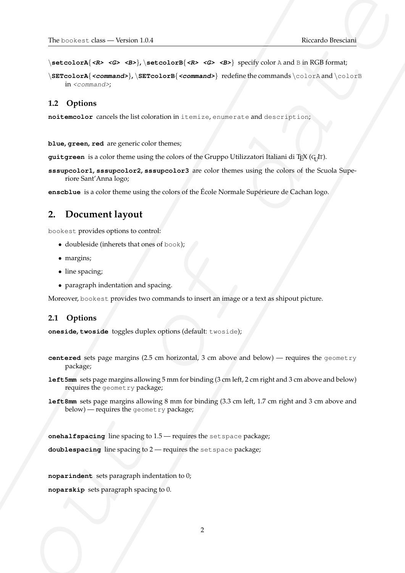\**setcolorA**{**<R> <G> <B>**}**,** \**setcolorB**{**<R> <G> <B>**} specify color A and B in RGB format;

University of the  $-$  Version 134<br>
Version of the set of definitions of the set of the set of the set of the set of the set of the set of the set of the set of the set of the set of the set of the set of the set of the se \**SETcolorA**{**<command>**}**,** \**SETcolorB**{**<command>**} redefine the commands \colorA and \colorB in <command>;

#### <span id="page-1-0"></span>**1.2 Options**

**noitemcolor** cancels the list coloration in itemize, enumerate and description;

**blue, green, red** are generic color themes;

**guitgreen** is a color theme using the colors of the Gruppo Utilizzatori Italiani di T<sub>E</sub>X (G<sub>U</sub>IT).

**sssupcolor1, sssupcolor2, sssupcolor3** are color themes using the colors of the Scuola Superiore Sant'Anna logo;

**enscblue** is a color theme using the colors of the École Normale Supérieure de Cachan logo.

## **2. Document layout**

bookest provides options to control:

- doubleside (inherets that ones of book);
- margins;
- line spacing;
- paragraph indentation and spacing.

Moreover, bookest provides two commands to insert an image or a text as shipout picture.

#### **2.1 Options**

**oneside, twoside** toggles duplex options (default: twoside);

- **centered** sets page margins (2.5 cm horizontal, 3 cm above and below) requires the geometry package;
- **left5mm** sets page margins allowing 5 mm for binding (3 cm left, 2 cm right and 3 cm above and below) requires the geometry package;
- **left8mm** sets page margins allowing 8 mm for binding (3.3 cm left, 1.7 cm right and 3 cm above and below) — requires the geometry package;

**onehalfspacing** line spacing to 1.5 — requires the setspace package;

**doublespacing** line spacing to 2 — requires the setspace package;

**noparindent** sets paragraph indentation to 0;

**noparskip** sets paragraph spacing to 0.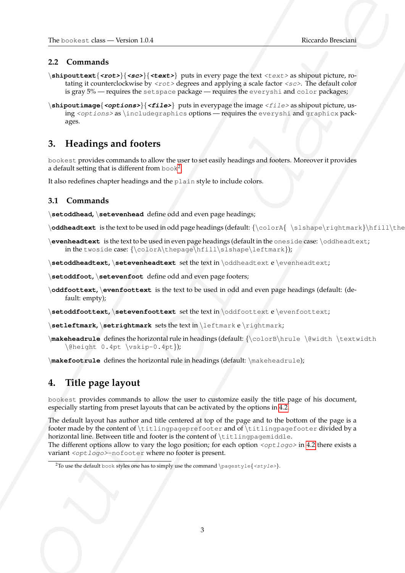#### **2.2 Commands**

- \**shipouttext**{**<rot>**}{**<sc>**}{**<text>**} puts in every page the text <text> as shipout picture, rotating it counterclockwise by  $\langle \text{rot}\rangle$  degrees and applying a scale factor  $\langle \text{sc}\rangle$ . The default color is gray 5% — requires the setspace package — requires the everyshi and color packages;
- \**shipoutimage**{**<options>**}{**<file>**} puts in everypage the image <file> as shipout picture, using <options> as \includegraphics options — requires the everyshi and graphicx packages.

# **3. Headings and footers**

bookest provides commands to allow the user to set easily headings and footers. Moreover it provides a default setting that is different from book<sup>[2](#page-2-0)</sup>.

It also redefines chapter headings and the plain style to include colors.

#### **3.1 Commands**

\**setoddhead,** \**setevenhead** define odd and even page headings;

\**oddheadtext** is the text to be used in odd page headings (default: {\colorA{ \slshape\rightmark}\hfill\the

\**evenheadtext** is the text to be used in even page headings (default in the oneside case: \oddheadtext; in the twoside case: {\colorA\thepage\hfill\slshape\leftmark});

\**setoddheadtext,** \**setevenheadtext** set the text in \oddheadtext e \evenheadtext;

- \**setoddfoot,** \**setevenfoot** define odd and even page footers;
- \**oddfoottext,** \**evenfoottext** is the text to be used in odd and even page headings (default: (default: empty);
- \**setoddfoottext,** \**setevenfoottext** set the text in \oddfoottext e \evenfoottext;
- \**setleftmark,** \**setrightmark** sets the text in \leftmark e \rightmark;
- \**makeheadrule** defines the horizontal rule in headings (default: {\colorB\hrule \@width \textwidth \@height 0.4pt \vskip-0.4pt});

\**makefootrule** defines the horizontal rule in headings (default: \makeheadrule);

# **4. Title page layout**

bookest provides commands to allow the user to customize easily the title page of his document, especially starting from preset layouts that can be activated by the options in [4.2.](#page-3-0)

The contrast channel when the state of the state particle is a state of the state of the state of the state of the state of the state of the state of the state of the state of the state of the state of the state of the st The default layout has author and title centered at top of the page and to the bottom of the page is a footer made by the content of \titlingpageprefooter and of \titlingpagefooter divided by a horizontal line. Between title and footer is the content of \titlingpagemiddle.

The different options allow to vary the logo position; for each option  $\langle opt \rangle_{OqO}$  in [4.2](#page-3-0) there exists a variant <optlogo>-nofooter where no footer is present.

<span id="page-2-0"></span><sup>&</sup>lt;sup>2</sup>To use the default book styles one has to simply use the command \pagestyle{<style>}.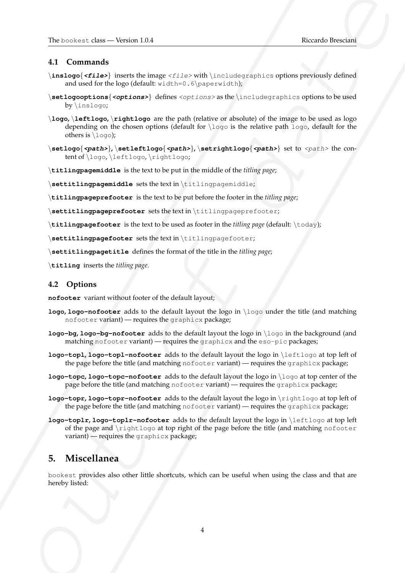## **4.1 Commands**

- \**inslogo**{**<file>**} inserts the image <file> with \includegraphics options previously defined and used for the logo (default:  $width=0.6\paper{paperwidth};$
- \**setlogooptions**{**<options>**} defines <options> as the \includegraphics options to be used by \inslogo;
- University than  $\sim$  Western 184<br>
4.1 Communists<br>
4.1 Communists<br>
4.1 Communists<br>
4.1 Communists<br>
4.1 Communists<br>
4.1 Communists<br>
4.1 Communists<br>
4.1 Communist Communists<br>
4.1 Communist Communists<br>
4.1 Communist Communist \**logo,** \**leftlogo,** \**rightlogo** are the path (relative or absolute) of the image to be used as logo depending on the chosen options (default for \logo is the relative path logo, default for the others is  $\log$ );
	- \**setlogo**{**<path>**}**,** \**setleftlogo**{**<path>**}**,** \**setrightlogo**{**<path>**} set to <path> the content of \logo, \leftlogo, \rightlogo;
	- \**titlingpagemiddle** is the text to be put in the middle of the *titling page*;

\**settitlingpagemiddle** sets the text in \titlingpagemiddle;

\**titlingpageprefooter** is the text to be put before the footer in the *titling page*;

\**settitlingpageprefooter** sets the text in \titlingpageprefooter;

\**titlingpagefooter** is the text to be used as footer in the *titling page* (default: \today);

\**settitlingpagefooter** sets the text in \titlingpagefooter;

\**settitlingpagetitle** defines the format of the title in the *titling page*;

\**titling** inserts the *titling page*.

## <span id="page-3-0"></span>**4.2 Options**

**nofooter** variant without footer of the default layout;

- **logo**, **logo-nofooter** adds to the default layout the logo in \logo under the title (and matching nofooter variant) — requires the graphicx package;
- **logo-bg, logo-bg-nofooter** adds to the default layout the logo in \logo in the background (and matching nofooter variant) — requires the graphicx and the eso-pic packages;
- **logo-topl, logo-topl-nofooter** adds to the default layout the logo in \leftlogo at top left of the page before the title (and matching nofooter variant) — requires the graphicx package;
- **logo-topc, logo-topc-nofooter** adds to the default layout the logo in \logo at top center of the page before the title (and matching nofooter variant) — requires the graphicx package;
- **logo-topr, logo-topr-nofooter** adds to the default layout the logo in \rightlogo at top left of the page before the title (and matching nofooter variant) — requires the graphicx package;
- **logo-toplr, logo-toplr-nofooter** adds to the default layout the logo in \leftlogo at top left of the page and \rightlogo at top right of the page before the title (and matching nofooter variant) — requires the graphicx package;

## **5. Miscellanea**

bookest provides also other little shortcuts, which can be useful when using the class and that are hereby listed: